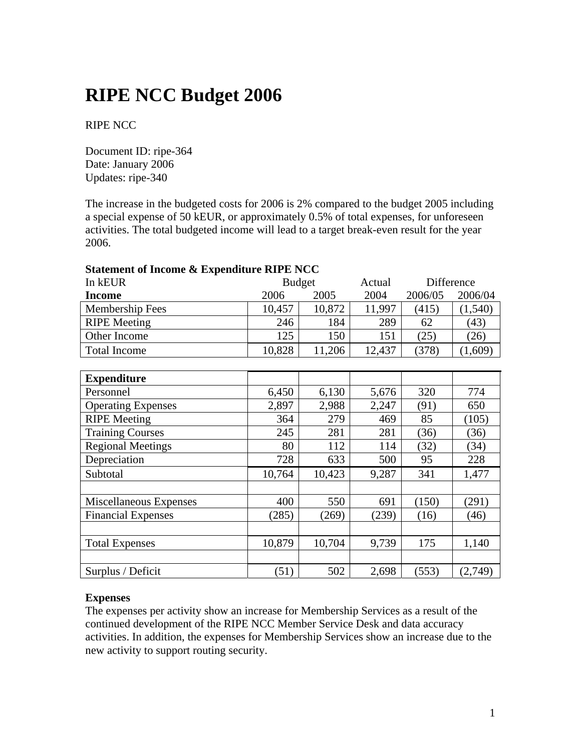# **RIPE NCC Budget 2006**

## RIPE NCC

Document ID: ripe-364 Date: January 2006 Updates: ripe-340

The increase in the budgeted costs for 2006 is 2% compared to the budget 2005 including a special expense of 50 kEUR, or approximately 0.5% of total expenses, for unforeseen activities. The total budgeted income will lead to a target break-even result for the year 2006.

### **Statement of Income & Expenditure RIPE NCC**

| In kEUR                | <b>Budget</b> |        | Actual | Difference |          |
|------------------------|---------------|--------|--------|------------|----------|
| Income                 | 2006          | 2005   | 2004   | 2006/05    | 2006/04  |
| <b>Membership Fees</b> | 10,457        | 10,872 | 11,997 | (415)      | (1, 540) |
| <b>RIPE</b> Meeting    | 246           | 184    | 289    | 62         | (43)     |
| Other Income           | 125           | 150    | 151    | (25)       | (26)     |
| Total Income           | 10,828        | 11,206 | 12,437 | (378)      | ,609     |

| <b>Expenditure</b>        |        |        |       |       |         |
|---------------------------|--------|--------|-------|-------|---------|
| Personnel                 | 6,450  | 6,130  | 5,676 | 320   | 774     |
| <b>Operating Expenses</b> | 2,897  | 2,988  | 2,247 | (91)  | 650     |
| <b>RIPE Meeting</b>       | 364    | 279    | 469   | 85    | (105)   |
| <b>Training Courses</b>   | 245    | 281    | 281   | (36)  | (36)    |
| <b>Regional Meetings</b>  | 80     | 112    | 114   | (32)  | (34)    |
| Depreciation              | 728    | 633    | 500   | 95    | 228     |
| Subtotal                  | 10,764 | 10,423 | 9,287 | 341   | 1,477   |
|                           |        |        |       |       |         |
| Miscellaneous Expenses    | 400    | 550    | 691   | (150) | (291)   |
| <b>Financial Expenses</b> | (285)  | (269)  | (239) | (16)  | (46)    |
|                           |        |        |       |       |         |
| <b>Total Expenses</b>     | 10,879 | 10,704 | 9,739 | 175   | 1,140   |
|                           |        |        |       |       |         |
| Surplus / Deficit         | (51)   | 502    | 2,698 | (553) | (2,749) |

#### **Expenses**

The expenses per activity show an increase for Membership Services as a result of the continued development of the RIPE NCC Member Service Desk and data accuracy activities. In addition, the expenses for Membership Services show an increase due to the new activity to support routing security.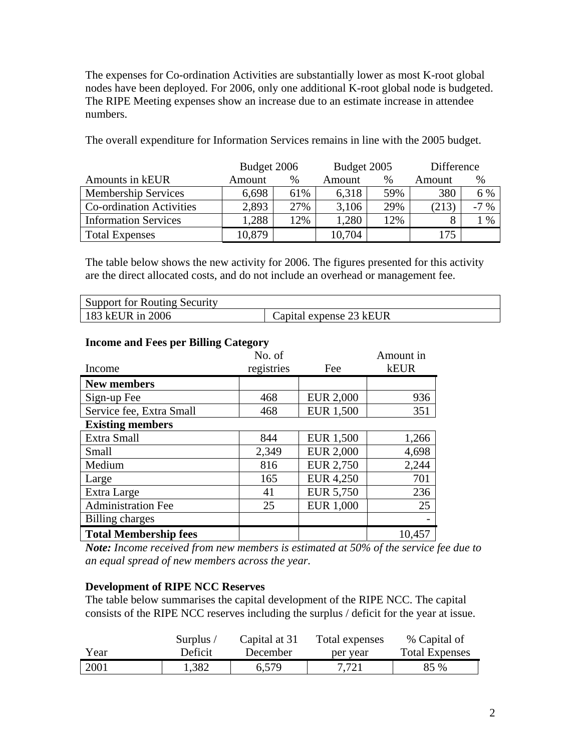The expenses for Co-ordination Activities are substantially lower as most K-root global nodes have been deployed. For 2006, only one additional K-root global node is budgeted. The RIPE Meeting expenses show an increase due to an estimate increase in attendee numbers.

The overall expenditure for Information Services remains in line with the 2005 budget.

|                                 | Budget 2006 |     | Budget 2005 |     | Difference |        |
|---------------------------------|-------------|-----|-------------|-----|------------|--------|
| Amounts in kEUR                 | Amount      | %   | Amount      | %   | Amount     | $\%$   |
| <b>Membership Services</b>      | 6,698       | 61% | 6.318       | 59% | 380        | 6 %    |
| <b>Co-ordination Activities</b> | 2,893       | 27% | 3,106       | 29% | (213)      | $-7\%$ |
| <b>Information Services</b>     | .288        | 12% | 1,280       | 12% |            | $\%$   |
| <b>Total Expenses</b>           | 10,879      |     | 10,704      |     | 75         |        |

The table below shows the new activity for 2006. The figures presented for this activity are the direct allocated costs, and do not include an overhead or management fee.

| Support for Routing Security |                         |
|------------------------------|-------------------------|
| 183 kEUR in 2006             | Capital expense 23 kEUR |

| Income                       | No. of<br>registries | Fee              | Amount in<br><b>kEUR</b> |
|------------------------------|----------------------|------------------|--------------------------|
| <b>New members</b>           |                      |                  |                          |
| Sign-up Fee                  | 468                  | <b>EUR 2,000</b> | 936                      |
| Service fee, Extra Small     | 468                  | <b>EUR 1,500</b> | 351                      |
| <b>Existing members</b>      |                      |                  |                          |
| Extra Small                  | 844                  | <b>EUR 1,500</b> | 1,266                    |
| Small                        | 2,349                | <b>EUR 2,000</b> | 4,698                    |
| Medium                       | 816                  | <b>EUR 2,750</b> | 2,244                    |
| Large                        | 165                  | <b>EUR 4,250</b> | 701                      |
| Extra Large                  | 41                   | <b>EUR 5,750</b> | 236                      |
| <b>Administration Fee</b>    | 25                   | <b>EUR 1,000</b> | 25                       |
| Billing charges              |                      |                  |                          |
| <b>Total Membership fees</b> |                      |                  | 10,457                   |

## **Income and Fees per Billing Category**

*Note: Income received from new members is estimated at 50% of the service fee due to an equal spread of new members across the year.* 

## **Development of RIPE NCC Reserves**

The table below summarises the capital development of the RIPE NCC. The capital consists of the RIPE NCC reserves including the surplus / deficit for the year at issue.

|      | Surplus / | Capital at 31 | Total expenses | % Capital of          |
|------|-----------|---------------|----------------|-----------------------|
| Year | Deficit   | December      | per year       | <b>Total Expenses</b> |
| 2001 | 1,382     | 6,579         | 7.721          | 85 %                  |